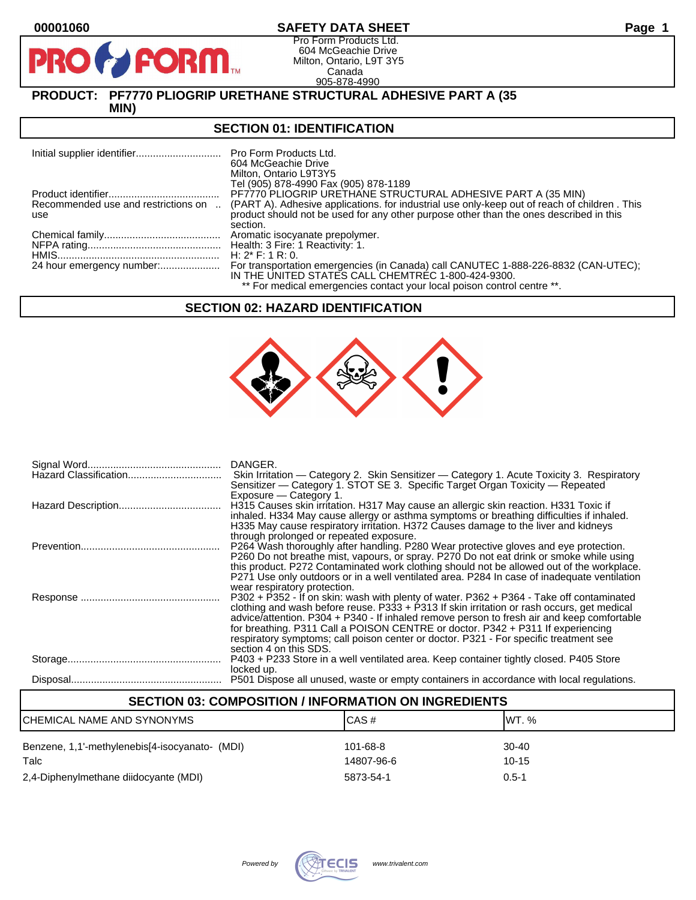**PI** 

## **00001060 SAFETY DATA SHEET Page 1**

Pro Form Products Ltd. 604 McGeachie Drive Milton, Ontario, L9T 3Y5 Canada 905-878-4990

# **PRODUCT: PF7770 PLIOGRIP URETHANE STRUCTURAL ADHESIVE PART A (35**

**MIN)**

**FORM.** 

### **SECTION 01: IDENTIFICATION**

|                                            | 604 McGeachie Drive<br>Milton, Ontario L9T3Y5<br>Tel (905) 878-4990 Fax (905) 878-1189                                                                                                 |
|--------------------------------------------|----------------------------------------------------------------------------------------------------------------------------------------------------------------------------------------|
|                                            | PF7770 PLIOGRIP URETHANE STRUCTURAL ADHESIVE PART A (35 MIN)                                                                                                                           |
| Recommended use and restrictions on<br>use | (PART A). Adhesive applications, for industrial use only-keep out of reach of children. This<br>product should not be used for any other purpose other than the ones described in this |
|                                            | section.                                                                                                                                                                               |
|                                            |                                                                                                                                                                                        |
|                                            |                                                                                                                                                                                        |
|                                            | H: $2^*$ F: 1 R: 0.                                                                                                                                                                    |
|                                            | For transportation emergencies (in Canada) call CANUTEC 1-888-226-8832 (CAN-UTEC);<br>IN THE UNITED STATES CALL CHEMTREC 1-800-424-9300.                                               |
|                                            | ** For medical emergencies contact your local poison control centre **.                                                                                                                |

#### **SECTION 02: HAZARD IDENTIFICATION**



| Hazard Classification | DANGER.<br>Skin Irritation — Category 2. Skin Sensitizer — Category 1. Acute Toxicity 3. Respiratory<br>Sensitizer — Category 1. STOT SE 3. Specific Target Organ Toxicity — Repeated<br>Exposure - Category 1.                                                                                                                                                                                                                                                                            |
|-----------------------|--------------------------------------------------------------------------------------------------------------------------------------------------------------------------------------------------------------------------------------------------------------------------------------------------------------------------------------------------------------------------------------------------------------------------------------------------------------------------------------------|
|                       | H315 Causes skin irritation. H317 May cause an allergic skin reaction. H331 Toxic if<br>inhaled. H334 May cause allergy or asthma symptoms or breathing difficulties if inhaled.<br>H335 May cause respiratory irritation. H372 Causes damage to the liver and kidneys<br>through prolonged or repeated exposure.                                                                                                                                                                          |
|                       | P264 Wash thoroughly after handling. P280 Wear protective gloves and eye protection.<br>P260 Do not breathe mist, vapours, or spray. P270 Do not eat drink or smoke while using<br>this product. P272 Contaminated work clothing should not be allowed out of the workplace.<br>P271 Use only outdoors or in a well ventilated area. P284 In case of inadequate ventilation<br>wear respiratory protection.                                                                                |
|                       | P302 + P352 - If on skin: wash with plenty of water. P362 + P364 - Take off contaminated<br>clothing and wash before reuse. P333 + P313 If skin irritation or rash occurs, get medical<br>advice/attention. P304 + P340 - If inhaled remove person to fresh air and keep comfortable<br>for breathing. P311 Call a POISON CENTRE or doctor. P342 + P311 If experiencing<br>respiratory symptoms; call poison center or doctor. P321 - For specific treatment see<br>section 4 on this SDS. |
|                       | P403 + P233 Store in a well ventilated area. Keep container tightly closed. P405 Store<br>locked up.                                                                                                                                                                                                                                                                                                                                                                                       |
|                       | P501 Dispose all unused, waste or empty containers in accordance with local regulations.                                                                                                                                                                                                                                                                                                                                                                                                   |

| <b>SECTION 03: COMPOSITION / INFORMATION ON INGREDIENTS</b> |            |           |  |  |
|-------------------------------------------------------------|------------|-----------|--|--|
| CAS#<br>IWT. $%$<br>CHEMICAL NAME AND SYNONYMS              |            |           |  |  |
| Benzene, 1,1'-methylenebis[4-isocyanato- (MDI)              | 101-68-8   | $30 - 40$ |  |  |
| Talc                                                        | 14807-96-6 | $10 - 15$ |  |  |
| 2,4-Diphenylmethane diidocyante (MDI)                       | 5873-54-1  | $0.5 - 1$ |  |  |

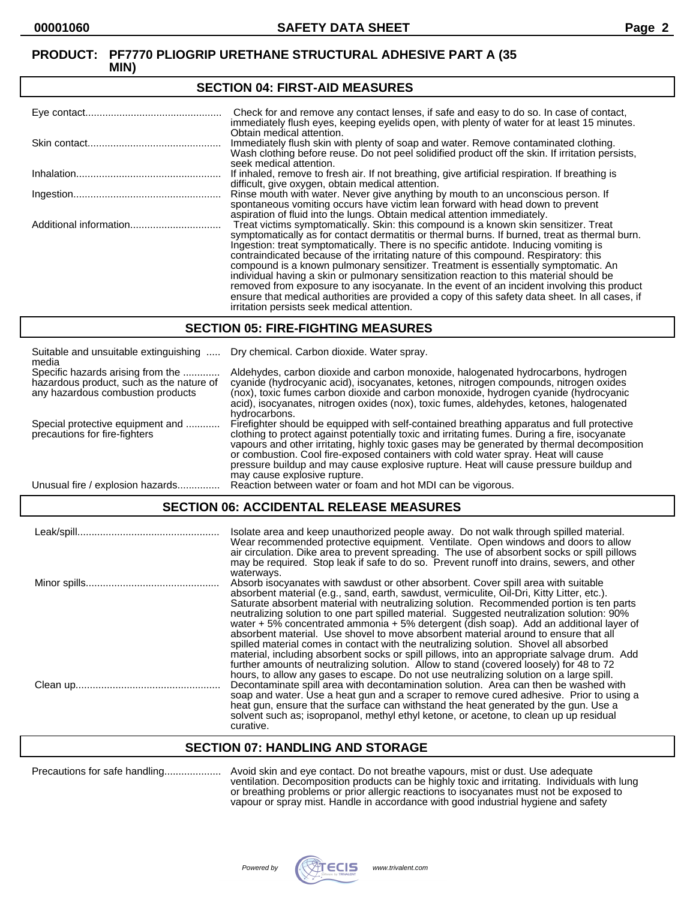#### **SECTION 04: FIRST-AID MEASURES** Eye contact................................................ Check for and remove any contact lenses, if safe and easy to do so. In case of contact, immediately flush eyes, keeping eyelids open, with plenty of water for at least 15 minutes. Obtain medical attention. Skin contact............................................... Immediately flush skin with plenty of soap and water. Remove contaminated clothing. Wash clothing before reuse. Do not peel solidified product off the skin. If irritation persists, seek medical attention. Inhalation................................................... If inhaled, remove to fresh air. If not breathing, give artificial respiration. If breathing is difficult, give oxygen, obtain medical attention. Ingestion.................................................... Rinse mouth with water. Never give anything by mouth to an unconscious person. If spontaneous vomiting occurs have victim lean forward with head down to prevent aspiration of fluid into the lungs. Obtain medical attention immediately. Additional information................................ Treat victims symptomatically. Skin: this compound is a known skin sensitizer. Treat symptomatically as for contact dermatitis or thermal burns. If burned, treat as thermal burn. Ingestion: treat symptomatically. There is no specific antidote. Inducing vomiting is contraindicated because of the irritating nature of this compound. Respiratory: this compound is a known pulmonary sensitizer. Treatment is essentially symptomatic. An individual having a skin or pulmonary sensitization reaction to this material should be removed from exposure to any isocyanate. In the event of an incident involving this product ensure that medical authorities are provided a copy of this safety data sheet. In all cases, if irritation persists seek medical attention.

## **SECTION 05: FIRE-FIGHTING MEASURES**

| Suitable and unsuitable extinguishing<br>media                                                                     | Dry chemical. Carbon dioxide. Water spray.                                                                                                                                                                                                                                                                                                                                                                                                                                                                |
|--------------------------------------------------------------------------------------------------------------------|-----------------------------------------------------------------------------------------------------------------------------------------------------------------------------------------------------------------------------------------------------------------------------------------------------------------------------------------------------------------------------------------------------------------------------------------------------------------------------------------------------------|
| Specific hazards arising from the<br>hazardous product, such as the nature of<br>any hazardous combustion products | Aldehydes, carbon dioxide and carbon monoxide, halogenated hydrocarbons, hydrogen<br>cyanide (hydrocyanic acid), isocyanates, ketones, nitrogen compounds, nitrogen oxides<br>(nox), toxic fumes carbon dioxide and carbon monoxide, hydrogen cyanide (hydrocyanic<br>acid), isocyanates, nitrogen oxides (nox), toxic fumes, aldehydes, ketones, halogenated<br>hydrocarbons.                                                                                                                            |
| Special protective equipment and<br>precautions for fire-fighters                                                  | Firefighter should be equipped with self-contained breathing apparatus and full protective<br>clothing to protect against potentially toxic and irritating fumes. During a fire, isocyanate<br>vapours and other irritating, highly toxic gases may be generated by thermal decomposition<br>or combustion. Cool fire-exposed containers with cold water spray. Heat will cause<br>pressure buildup and may cause explosive rupture. Heat will cause pressure buildup and<br>may cause explosive rupture. |
| Unusual fire / explosion hazards.                                                                                  | Reaction between water or foam and hot MDI can be vigorous.                                                                                                                                                                                                                                                                                                                                                                                                                                               |

## **SECTION 06: ACCIDENTAL RELEASE MEASURES**

| Isolate area and keep unauthorized people away. Do not walk through spilled material.<br>Wear recommended protective equipment. Ventilate. Open windows and doors to allow<br>air circulation. Dike area to prevent spreading. The use of absorbent socks or spill pillows<br>may be required. Stop leak if safe to do so. Prevent runoff into drains, sewers, and other                                                                                                                                                                                                                                                                                               |
|------------------------------------------------------------------------------------------------------------------------------------------------------------------------------------------------------------------------------------------------------------------------------------------------------------------------------------------------------------------------------------------------------------------------------------------------------------------------------------------------------------------------------------------------------------------------------------------------------------------------------------------------------------------------|
| waterways.<br>Absorb isocyanates with sawdust or other absorbent. Cover spill area with suitable<br>absorbent material (e.g., sand, earth, sawdust, vermiculite, Oil-Dri, Kitty Litter, etc.).<br>Saturate absorbent material with neutralizing solution. Recommended portion is ten parts<br>neutralizing solution to one part spilled material. Suggested neutralization solution: 90%<br>water $+5\%$ concentrated ammonia $+5\%$ detergent (dish soap). Add an additional layer of<br>absorbent material. Use shovel to move absorbent material around to ensure that all<br>spilled material comes in contact with the neutralizing solution. Shovel all absorbed |
| material, including absorbent socks or spill pillows, into an appropriate salvage drum. Add<br>further amounts of neutralizing solution. Allow to stand (covered loosely) for 48 to 72<br>hours, to allow any gases to escape. Do not use neutralizing solution on a large spill.<br>Decontaminate spill area with decontamination solution. Area can then be washed with<br>soap and water. Use a heat gun and a scraper to remove cured adhesive. Prior to using a<br>heat gun, ensure that the surface can withstand the heat generated by the gun. Use a<br>solvent such as: isopropanol, methyl ethyl ketone, or acetone, to clean up up residual<br>curative.    |

## **SECTION 07: HANDLING AND STORAGE**

| Precautions for safe handling |  |
|-------------------------------|--|
|-------------------------------|--|

Avoid skin and eye contact. Do not breathe vapours, mist or dust. Use adequate ventilation. Decomposition products can be highly toxic and irritating. Individuals with lung or breathing problems or prior allergic reactions to isocyanates must not be exposed to vapour or spray mist. Handle in accordance with good industrial hygiene and safety

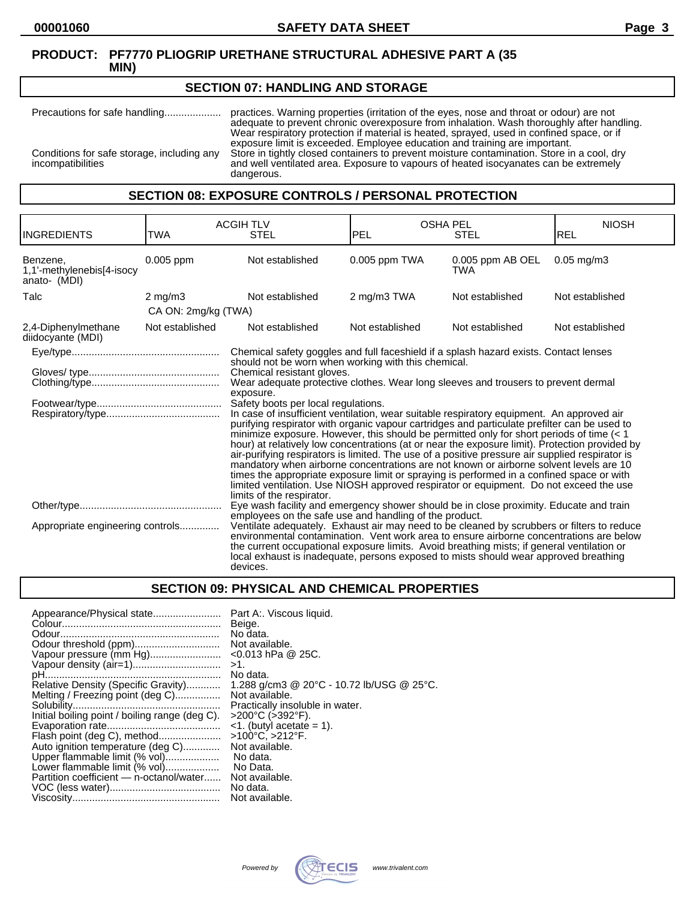#### **SECTION 07: HANDLING AND STORAGE**

Precautions for safe handling.................... practices. Warning properties (irritation of the eyes, nose and throat or odour) are not adequate to prevent chronic overexposure from inhalation. Wash thoroughly after handling. Wear respiratory protection if material is heated, sprayed, used in confined space, or if exposure limit is exceeded. Employee education and training are important. Conditions for safe storage, including any Store in tightly closed containers to prevent moisture contamination. Store in a cool, dry incompatibilities and well ventilated area. Exposure to vapours of heated isocyanates can be extremely dangerous.

## **SECTION 08: EXPOSURE CONTROLS / PERSONAL PROTECTION**

| <b>INGREDIENTS</b>                                    | TWA                                                                                                                                                                                                                                                                                                                                                                                                                                                                                                                                         | <b>ACGIH TLV</b><br><b>STEL</b>                                                                                                                                                                                                                                                                                                                                                                                                                                                                                                                                                                                                                                                                                                                                                                                                                                                                                                                                                                                 | <b>OSHA PEL</b><br><b>PEL</b> | <b>STEL</b>                    | <b>NIOSH</b><br>REL |
|-------------------------------------------------------|---------------------------------------------------------------------------------------------------------------------------------------------------------------------------------------------------------------------------------------------------------------------------------------------------------------------------------------------------------------------------------------------------------------------------------------------------------------------------------------------------------------------------------------------|-----------------------------------------------------------------------------------------------------------------------------------------------------------------------------------------------------------------------------------------------------------------------------------------------------------------------------------------------------------------------------------------------------------------------------------------------------------------------------------------------------------------------------------------------------------------------------------------------------------------------------------------------------------------------------------------------------------------------------------------------------------------------------------------------------------------------------------------------------------------------------------------------------------------------------------------------------------------------------------------------------------------|-------------------------------|--------------------------------|---------------------|
| Benzene,<br>1,1'-methylenebis[4-isocy<br>anato- (MDI) | 0.005 ppm                                                                                                                                                                                                                                                                                                                                                                                                                                                                                                                                   | Not established                                                                                                                                                                                                                                                                                                                                                                                                                                                                                                                                                                                                                                                                                                                                                                                                                                                                                                                                                                                                 | 0.005 ppm TWA                 | 0.005 ppm AB OEL<br><b>TWA</b> | $0.05$ mg/m $3$     |
| Talc                                                  | $2 \text{ mg/m}$ 3                                                                                                                                                                                                                                                                                                                                                                                                                                                                                                                          | Not established                                                                                                                                                                                                                                                                                                                                                                                                                                                                                                                                                                                                                                                                                                                                                                                                                                                                                                                                                                                                 | 2 mg/m3 TWA                   | Not established                | Not established     |
|                                                       | CA ON: 2mg/kg (TWA)                                                                                                                                                                                                                                                                                                                                                                                                                                                                                                                         |                                                                                                                                                                                                                                                                                                                                                                                                                                                                                                                                                                                                                                                                                                                                                                                                                                                                                                                                                                                                                 |                               |                                |                     |
| 2,4-Diphenylmethane<br>diidocyante (MDI)              | Not established                                                                                                                                                                                                                                                                                                                                                                                                                                                                                                                             | Not established                                                                                                                                                                                                                                                                                                                                                                                                                                                                                                                                                                                                                                                                                                                                                                                                                                                                                                                                                                                                 | Not established               | Not established                | Not established     |
|                                                       |                                                                                                                                                                                                                                                                                                                                                                                                                                                                                                                                             | Chemical safety goggles and full faceshield if a splash hazard exists. Contact lenses                                                                                                                                                                                                                                                                                                                                                                                                                                                                                                                                                                                                                                                                                                                                                                                                                                                                                                                           |                               |                                |                     |
|                                                       |                                                                                                                                                                                                                                                                                                                                                                                                                                                                                                                                             | should not be worn when working with this chemical.<br>Chemical resistant gloves.<br>Wear adequate protective clothes. Wear long sleeves and trousers to prevent dermal<br>exposure.<br>Safety boots per local regulations.<br>In case of insufficient ventilation, wear suitable respiratory equipment. An approved air<br>purifying respirator with organic vapour cartridges and particulate prefilter can be used to<br>minimize exposure. However, this should be permitted only for short periods of time $(1hour) at relatively low concentrations (at or near the exposure limit). Protection provided byair-purifying respirators is limited. The use of a positive pressure air supplied respirator ismandatory when airborne concentrations are not known or airborne solvent levels are 10times the appropriate exposure limit or spraying is performed in a confined space or withlimited ventilation. Use NIOSH approved respirator or equipment. Do not exceed the uselimits of the respirator.$ |                               |                                |                     |
| Appropriate engineering controls                      | Eye wash facility and emergency shower should be in close proximity. Educate and train<br>employees on the safe use and handling of the product.<br>Ventilate adequately. Exhaust air may need to be cleaned by scrubbers or filters to reduce<br>environmental contamination. Vent work area to ensure airborne concentrations are below<br>the current occupational exposure limits. Avoid breathing mists; if general ventilation or<br>local exhaust is inadequate, persons exposed to mists should wear approved breathing<br>devices. |                                                                                                                                                                                                                                                                                                                                                                                                                                                                                                                                                                                                                                                                                                                                                                                                                                                                                                                                                                                                                 |                               |                                |                     |

#### **SECTION 09: PHYSICAL AND CHEMICAL PROPERTIES**

| Appearance/Physical state                      | Part A:. Viscous liquid.                  |
|------------------------------------------------|-------------------------------------------|
|                                                | Beige.                                    |
|                                                | No data.                                  |
|                                                | Not available.                            |
| Vapour pressure (mm Hg)                        | $<$ 0.013 hPa @ 25C.                      |
|                                                | $>1$ .                                    |
|                                                | No data.                                  |
| Relative Density (Specific Gravity)            | 1.288 g/cm3 @ 20°C - 10.72 lb/USG @ 25°C. |
| Melting / Freezing point (deg C)               | Not available.                            |
|                                                | Practically insoluble in water.           |
| Initial boiling point / boiling range (deg C). | $>200^{\circ}$ C ( $>392^{\circ}$ F).     |
|                                                | $\leq$ 1. (butyl acetate = 1).            |
| Flash point (deg C), method                    | $>100^{\circ}$ C, $>212^{\circ}$ F.       |
| Auto ignition temperature (deg C)              | Not available.                            |
| Upper flammable limit (% vol)                  | No data.                                  |
| Lower flammable limit (% vol)                  | No Data.                                  |
| Partition coefficient - n-octanol/water        | Not available.                            |
|                                                | No data.                                  |
|                                                | Not available.                            |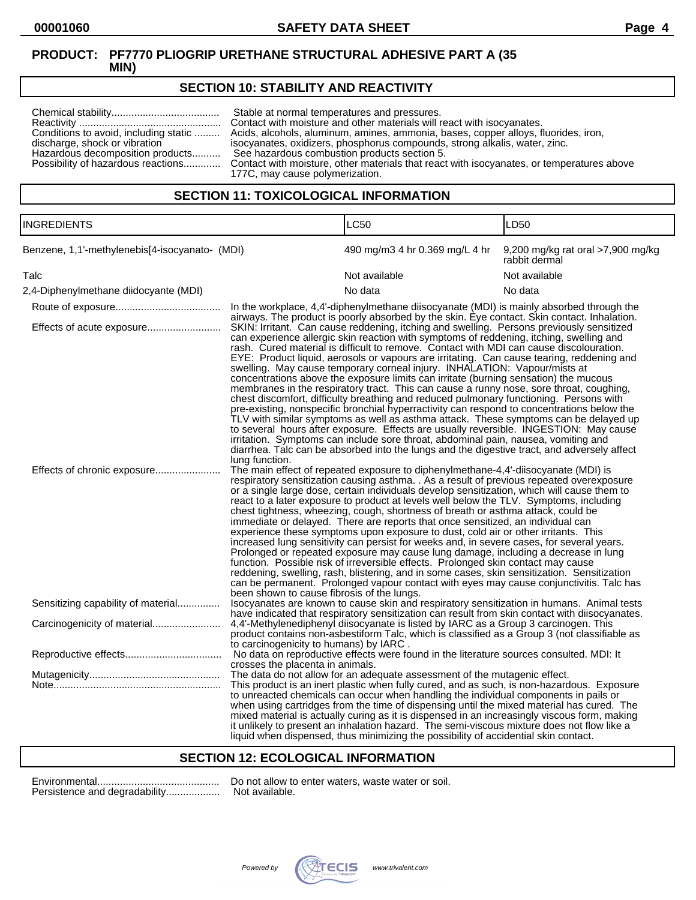## **SECTION 10: STABILITY AND REACTIVITY**

| Conditions to avoid, including static<br>discharge, shock or vibration<br>Hazardous decomposition products | Stable at normal temperatures and pressures.<br>Contact with moisture and other materials will react with isocyanates.<br>Acids, alcohols, aluminum, amines, ammonia, bases, copper alloys, fluorides, iron,<br>isocyanates, oxidizers, phosphorus compounds, strong alkalis, water, zinc.<br>See hazardous combustion products section 5.<br>Possibility of hazardous reactions Contact with moisture, other materials that react with isocyanates, or temperatures above<br>177C, may cause polymerization. |
|------------------------------------------------------------------------------------------------------------|---------------------------------------------------------------------------------------------------------------------------------------------------------------------------------------------------------------------------------------------------------------------------------------------------------------------------------------------------------------------------------------------------------------------------------------------------------------------------------------------------------------|
|------------------------------------------------------------------------------------------------------------|---------------------------------------------------------------------------------------------------------------------------------------------------------------------------------------------------------------------------------------------------------------------------------------------------------------------------------------------------------------------------------------------------------------------------------------------------------------------------------------------------------------|

## **SECTION 11: TOXICOLOGICAL INFORMATION**

| <b>INGREDIENTS</b>                             |                                                                                                                                                                                                                                                                                                                                                                                                                                                                                                                                                                                                                                                                                                                                                                                                                                                                                                                                                                                                                                                                                                                                                                                                                                                                                                          | <b>LC50</b>                                                                                                                                                                                                                                                                                                                                                                                                                                                                                                                                                                                                                                                                                                                                                                                                                                                                                                                                                                                                                                                                                             | LD <sub>50</sub>                                   |  |
|------------------------------------------------|----------------------------------------------------------------------------------------------------------------------------------------------------------------------------------------------------------------------------------------------------------------------------------------------------------------------------------------------------------------------------------------------------------------------------------------------------------------------------------------------------------------------------------------------------------------------------------------------------------------------------------------------------------------------------------------------------------------------------------------------------------------------------------------------------------------------------------------------------------------------------------------------------------------------------------------------------------------------------------------------------------------------------------------------------------------------------------------------------------------------------------------------------------------------------------------------------------------------------------------------------------------------------------------------------------|---------------------------------------------------------------------------------------------------------------------------------------------------------------------------------------------------------------------------------------------------------------------------------------------------------------------------------------------------------------------------------------------------------------------------------------------------------------------------------------------------------------------------------------------------------------------------------------------------------------------------------------------------------------------------------------------------------------------------------------------------------------------------------------------------------------------------------------------------------------------------------------------------------------------------------------------------------------------------------------------------------------------------------------------------------------------------------------------------------|----------------------------------------------------|--|
| Benzene, 1,1'-methylenebis[4-isocyanato- (MDI) |                                                                                                                                                                                                                                                                                                                                                                                                                                                                                                                                                                                                                                                                                                                                                                                                                                                                                                                                                                                                                                                                                                                                                                                                                                                                                                          | 490 mg/m3 4 hr 0.369 mg/L 4 hr                                                                                                                                                                                                                                                                                                                                                                                                                                                                                                                                                                                                                                                                                                                                                                                                                                                                                                                                                                                                                                                                          | 9,200 mg/kg rat oral >7,900 mg/kg<br>rabbit dermal |  |
| Talc                                           |                                                                                                                                                                                                                                                                                                                                                                                                                                                                                                                                                                                                                                                                                                                                                                                                                                                                                                                                                                                                                                                                                                                                                                                                                                                                                                          | Not available                                                                                                                                                                                                                                                                                                                                                                                                                                                                                                                                                                                                                                                                                                                                                                                                                                                                                                                                                                                                                                                                                           | Not available                                      |  |
| 2,4-Diphenylmethane diidocyante (MDI)          |                                                                                                                                                                                                                                                                                                                                                                                                                                                                                                                                                                                                                                                                                                                                                                                                                                                                                                                                                                                                                                                                                                                                                                                                                                                                                                          | No data                                                                                                                                                                                                                                                                                                                                                                                                                                                                                                                                                                                                                                                                                                                                                                                                                                                                                                                                                                                                                                                                                                 | No data                                            |  |
|                                                |                                                                                                                                                                                                                                                                                                                                                                                                                                                                                                                                                                                                                                                                                                                                                                                                                                                                                                                                                                                                                                                                                                                                                                                                                                                                                                          | In the workplace, 4,4'-diphenylmethane diisocyanate (MDI) is mainly absorbed through the                                                                                                                                                                                                                                                                                                                                                                                                                                                                                                                                                                                                                                                                                                                                                                                                                                                                                                                                                                                                                |                                                    |  |
| Effects of acute exposure                      | airways. The product is poorly absorbed by the skin. Eye contact. Skin contact. Inhalation.<br>SKIN: Irritant. Can cause reddening, itching and swelling. Persons previously sensitized<br>can experience allergic skin reaction with symptoms of reddening, itching, swelling and<br>rash. Cured material is difficult to remove. Contact with MDI can cause discolouration.<br>EYE: Product liquid, aerosols or vapours are irritating. Can cause tearing, reddening and<br>swelling. May cause temporary corneal injury. INHALATION: Vapour/mists at<br>concentrations above the exposure limits can irritate (burning sensation) the mucous<br>membranes in the respiratory tract. This can cause a runny nose, sore throat, coughing,<br>chest discomfort, difficulty breathing and reduced pulmonary functioning. Persons with<br>pre-existing, nonspecific bronchial hyperractivity can respond to concentrations below the<br>TLV with similar symptoms as well as asthma attack. These symptoms can be delayed up<br>to several hours after exposure. Effects are usually reversible. INGESTION: May cause<br>irritation. Symptoms can include sore throat, abdominal pain, nausea, vomiting and<br>diarrhea. Talc can be absorbed into the lungs and the digestive tract, and adversely affect |                                                                                                                                                                                                                                                                                                                                                                                                                                                                                                                                                                                                                                                                                                                                                                                                                                                                                                                                                                                                                                                                                                         |                                                    |  |
| Effects of chronic exposure                    | lung function.<br>been shown to cause fibrosis of the lungs.                                                                                                                                                                                                                                                                                                                                                                                                                                                                                                                                                                                                                                                                                                                                                                                                                                                                                                                                                                                                                                                                                                                                                                                                                                             | The main effect of repeated exposure to diphenylmethane-4,4'-diisocyanate (MDI) is<br>respiratory sensitization causing asthma. . As a result of previous repeated overexposure<br>or a single large dose, certain individuals develop sensitization, which will cause them to<br>react to a later exposure to product at levels well below the TLV. Symptoms, including<br>chest tightness, wheezing, cough, shortness of breath or asthma attack, could be<br>immediate or delayed. There are reports that once sensitized, an individual can<br>experience these symptoms upon exposure to dust, cold air or other irritants. This<br>increased lung sensitivity can persist for weeks and, in severe cases, for several years.<br>Prolonged or repeated exposure may cause lung damage, including a decrease in lung<br>function. Possible risk of irreversible effects. Prolonged skin contact may cause<br>reddening, swelling, rash, blistering, and in some cases, skin sensitization. Sensitization<br>can be permanent. Prolonged vapour contact with eyes may cause conjunctivitis. Talc has |                                                    |  |
| Sensitizing capability of material             |                                                                                                                                                                                                                                                                                                                                                                                                                                                                                                                                                                                                                                                                                                                                                                                                                                                                                                                                                                                                                                                                                                                                                                                                                                                                                                          | Isocyanates are known to cause skin and respiratory sensitization in humans. Animal tests<br>have indicated that respiratory sensitization can result from skin contact with diisocyanates.                                                                                                                                                                                                                                                                                                                                                                                                                                                                                                                                                                                                                                                                                                                                                                                                                                                                                                             |                                                    |  |
| Carcinogenicity of material                    | to carcinogenicity to humans) by IARC.                                                                                                                                                                                                                                                                                                                                                                                                                                                                                                                                                                                                                                                                                                                                                                                                                                                                                                                                                                                                                                                                                                                                                                                                                                                                   | 4,4'-Methylenediphenyl diisocyanate is listed by IARC as a Group 3 carcinogen. This<br>product contains non-asbestiform Talc, which is classified as a Group 3 (not classifiable as                                                                                                                                                                                                                                                                                                                                                                                                                                                                                                                                                                                                                                                                                                                                                                                                                                                                                                                     |                                                    |  |
|                                                | crosses the placenta in animals.                                                                                                                                                                                                                                                                                                                                                                                                                                                                                                                                                                                                                                                                                                                                                                                                                                                                                                                                                                                                                                                                                                                                                                                                                                                                         | No data on reproductive effects were found in the literature sources consulted. MDI: It                                                                                                                                                                                                                                                                                                                                                                                                                                                                                                                                                                                                                                                                                                                                                                                                                                                                                                                                                                                                                 |                                                    |  |
|                                                |                                                                                                                                                                                                                                                                                                                                                                                                                                                                                                                                                                                                                                                                                                                                                                                                                                                                                                                                                                                                                                                                                                                                                                                                                                                                                                          | The data do not allow for an adequate assessment of the mutagenic effect.<br>This product is an inert plastic when fully cured, and as such, is non-hazardous. Exposure<br>to unreacted chemicals can occur when handling the individual components in pails or<br>when using cartridges from the time of dispensing until the mixed material has cured. The<br>mixed material is actually curing as it is dispensed in an increasingly viscous form, making<br>it unlikely to present an inhalation hazard. The semi-viscous mixture does not flow like a                                                                                                                                                                                                                                                                                                                                                                                                                                                                                                                                              |                                                    |  |

#### **SECTION 12: ECOLOGICAL INFORMATION**

| Persistence and degradability |
|-------------------------------|

Environmental........................................... Do not allow to enter waters, waste water or soil. ..... Not available.



liquid when dispensed, thus minimizing the possibility of accidential skin contact.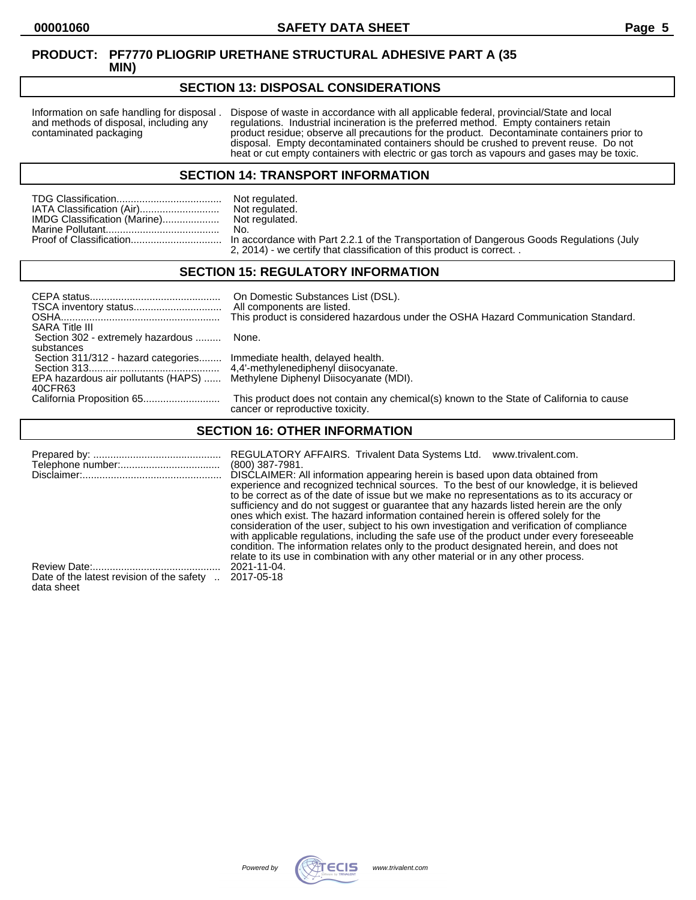## **SECTION 13: DISPOSAL CONSIDERATIONS**

Information on safe handling for disposal . Dispose of waste in accordance with all applicable federal, provincial/State and local and methods of disposal, including any regulations. Industrial incineration is the preferre and methods of disposal, including any regulations. Industrial incineration is the preferred method. Empty containers retain<br>contaminated packaging product residue; observe all precautions for the product. Decontaminate co product residue; observe all precautions for the product. Decontaminate containers prior to disposal. Empty decontaminated containers should be crushed to prevent reuse. Do not heat or cut empty containers with electric or gas torch as vapours and gases may be toxic.

#### **SECTION 14: TRANSPORT INFORMATION**

|                              | Not regulated. |
|------------------------------|----------------|
| IATA Classification (Air)    | Not regulated. |
| IMDG Classification (Marine) | Not regulated. |
|                              | No.            |
|                              |                |
|                              |                |

Not regulated.<br>No. n accordance with Part 2.2.1 of the Transportation of Dangerous Goods Regulations (July 2, 2014) - we certify that classification of this product is correct. .

### **SECTION 15: REGULATORY INFORMATION**

| <b>SARA Title III</b>                                                       | On Domestic Substances List (DSL).<br>All components are listed.<br>This product is considered hazardous under the OSHA Hazard Communication Standard. |
|-----------------------------------------------------------------------------|--------------------------------------------------------------------------------------------------------------------------------------------------------|
| Section 302 - extremely hazardous  None.                                    |                                                                                                                                                        |
| substances                                                                  |                                                                                                                                                        |
| Section 311/312 - hazard categories Immediate health, delayed health.       |                                                                                                                                                        |
|                                                                             |                                                                                                                                                        |
| EPA hazardous air pollutants (HAPS)  Methylene Diphenyl Diisocyanate (MDI). |                                                                                                                                                        |
| 40CFR63                                                                     |                                                                                                                                                        |
|                                                                             | This product does not contain any chemical(s) known to the State of California to cause<br>cancer or reproductive toxicity.                            |

### **SECTION 16: OTHER INFORMATION**

|                                           | REGULATORY AFFAIRS. Trivalent Data Systems Ltd.<br>www.trivalent.com.<br>$(800)$ 387-7981.<br>DISCLAIMER: All information appearing herein is based upon data obtained from<br>experience and recognized technical sources. To the best of our knowledge, it is believed<br>to be correct as of the date of issue but we make no representations as to its accuracy or<br>sufficiency and do not suggest or guarantee that any hazards listed herein are the only<br>ones which exist. The hazard information contained herein is offered solely for the<br>consideration of the user, subject to his own investigation and verification of compliance<br>with applicable regulations, including the safe use of the product under every foreseeable<br>condition. The information relates only to the product designated herein, and does not |
|-------------------------------------------|------------------------------------------------------------------------------------------------------------------------------------------------------------------------------------------------------------------------------------------------------------------------------------------------------------------------------------------------------------------------------------------------------------------------------------------------------------------------------------------------------------------------------------------------------------------------------------------------------------------------------------------------------------------------------------------------------------------------------------------------------------------------------------------------------------------------------------------------|
|                                           | relate to its use in combination with any other material or in any other process.                                                                                                                                                                                                                                                                                                                                                                                                                                                                                                                                                                                                                                                                                                                                                              |
| Date of the latest revision of the safety | 2021-11-04.                                                                                                                                                                                                                                                                                                                                                                                                                                                                                                                                                                                                                                                                                                                                                                                                                                    |
| data sheet                                | 2017-05-18                                                                                                                                                                                                                                                                                                                                                                                                                                                                                                                                                                                                                                                                                                                                                                                                                                     |

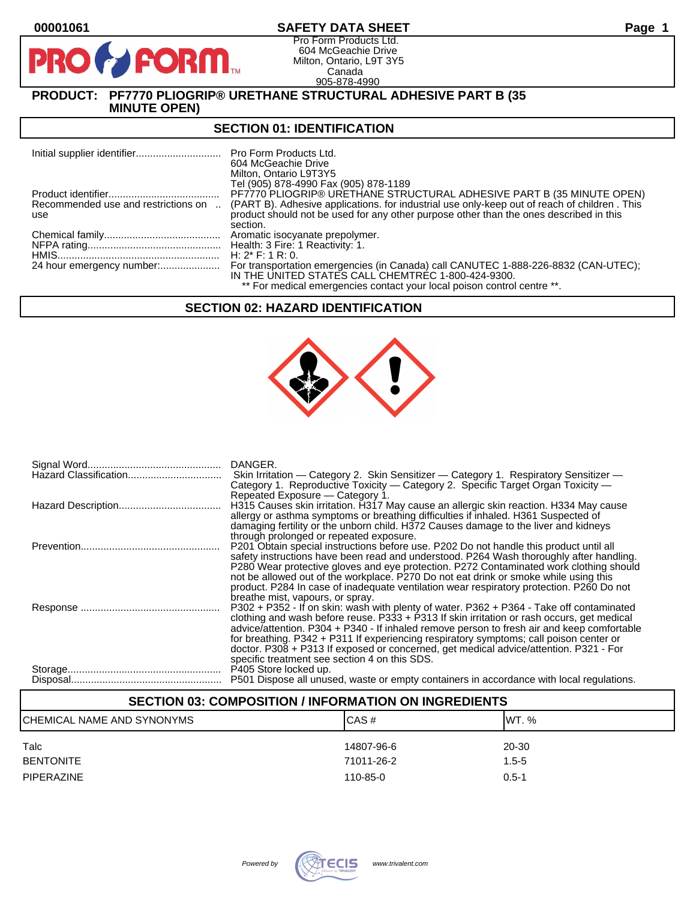$\mathbf{P}$ 

## **00001061 SAFETY DATA SHEET Page 1**

Pro Form Products Ltd. 604 McGeachie Drive Milton, Ontario, L9T 3Y5 Canada 905-878-4990

## **PRODUCT: PF7770 PLIOGRIP® URETHANE STRUCTURAL ADHESIVE PART B (35 MINUTE OPEN)**

**FORM** 

#### **SECTION 01: IDENTIFICATION**

| Pro Form Products Ltd.<br>604 McGeachie Drive<br>Milton, Ontario L9T3Y5<br>Tel (905) 878-4990 Fax (905) 878-1189                                                                                                             |
|------------------------------------------------------------------------------------------------------------------------------------------------------------------------------------------------------------------------------|
| PF7770 PLIOGRIP® URETHANE STRUCTURAL ADHESIVE PART B (35 MINUTE OPEN)                                                                                                                                                        |
| Recommended use and restrictions on  (PART B). Adhesive applications. for industrial use only-keep out of reach of children . This<br>product should not be used for any other purpose other than the ones described in this |
| section.                                                                                                                                                                                                                     |
|                                                                                                                                                                                                                              |
|                                                                                                                                                                                                                              |
| $H: 2^* F: 1 R: 0.$                                                                                                                                                                                                          |
| For transportation emergencies (in Canada) call CANUTEC 1-888-226-8832 (CAN-UTEC);<br>IN THE UNITED STATES CALL CHEMTREC 1-800-424-9300.<br>** For medical emergencies contact your local poison control centre **.          |
| 24 hour emergency number:                                                                                                                                                                                                    |

### **SECTION 02: HAZARD IDENTIFICATION**



| DANGER.<br>Skin Irritation — Category 2. Skin Sensitizer — Category 1. Respiratory Sensitizer —<br>Category 1. Reproductive Toxicity - Category 2. Specific Target Organ Toxicity -<br>Repeated Exposure - Category 1.                                                                                                                                                                                                                                                                                                   |
|--------------------------------------------------------------------------------------------------------------------------------------------------------------------------------------------------------------------------------------------------------------------------------------------------------------------------------------------------------------------------------------------------------------------------------------------------------------------------------------------------------------------------|
| H315 Causes skin irritation. H317 May cause an allergic skin reaction. H334 May cause<br>allergy or asthma symptoms or breathing difficulties if inhaled. H361 Suspected of<br>damaging fertility or the unborn child. H372 Causes damage to the liver and kidneys<br>through prolonged or repeated exposure.                                                                                                                                                                                                            |
| P201 Obtain special instructions before use. P202 Do not handle this product until all<br>safety instructions have been read and understood. P264 Wash thoroughly after handling.<br>P280 Wear protective gloves and eye protection. P272 Contaminated work clothing should<br>not be allowed out of the workplace. P270 Do not eat drink or smoke while using this<br>product. P284 In case of inadequate ventilation wear respiratory protection. P260 Do not<br>breathe mist, vapours, or spray.                      |
| P302 + P352 - If on skin: wash with plenty of water. P362 + P364 - Take off contaminated<br>clothing and wash before reuse. P333 + P313 If skin irritation or rash occurs, get medical<br>advice/attention. P304 + P340 - If inhaled remove person to fresh air and keep comfortable<br>for breathing. P342 + P311 If experiencing respiratory symptoms; call poison center or<br>doctor. P308 + P313 If exposed or concerned, get medical advice/attention. P321 - For<br>specific treatment see section 4 on this SDS. |
| P405 Store locked up.<br>P501 Dispose all unused, waste or empty containers in accordance with local regulations.                                                                                                                                                                                                                                                                                                                                                                                                        |

## **SECTION 03: COMPOSITION / INFORMATION ON INGREDIENTS** CHEMICAL NAME AND SYNONYMS CASE CAS # CAS # WT. % Talc 14807-96-6 20-30 BENTONITE 71011-26-2 1.5-5 PIPERAZINE 110-85-0 0.5-1

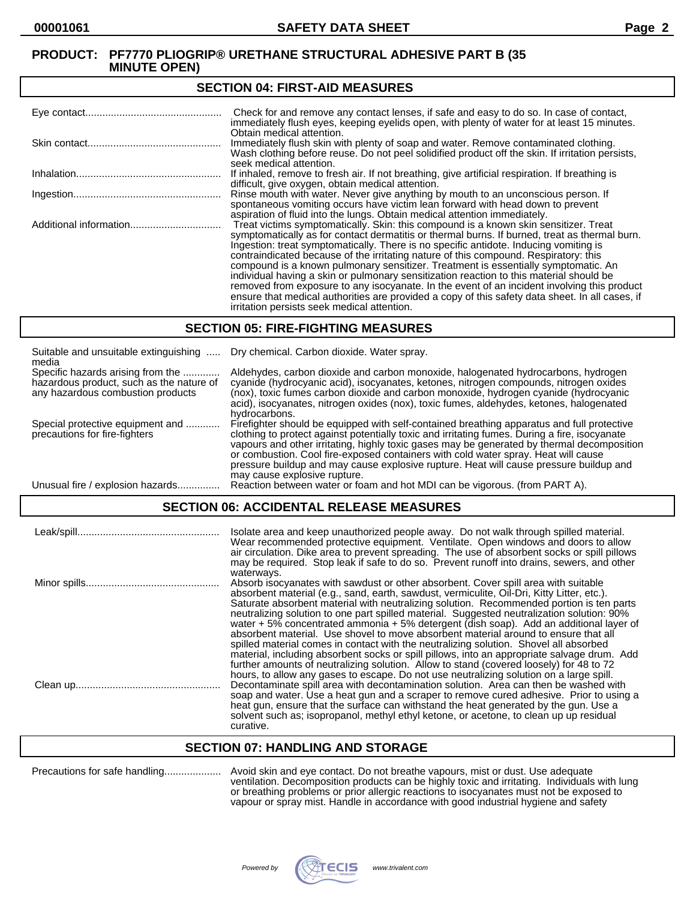#### **SECTION 04: FIRST-AID MEASURES**

| Check for and remove any contact lenses, if safe and easy to do so. In case of contact,<br>immediately flush eyes, keeping eyelids open, with plenty of water for at least 15 minutes.                                                                                                                                                                                                                                                                                                                                                                                                                                                                                                                                                                                                                   |
|----------------------------------------------------------------------------------------------------------------------------------------------------------------------------------------------------------------------------------------------------------------------------------------------------------------------------------------------------------------------------------------------------------------------------------------------------------------------------------------------------------------------------------------------------------------------------------------------------------------------------------------------------------------------------------------------------------------------------------------------------------------------------------------------------------|
| Obtain medical attention.<br>Immediately flush skin with plenty of soap and water. Remove contaminated clothing.<br>Wash clothing before reuse. Do not peel solidified product off the skin. If irritation persists,<br>seek medical attention.                                                                                                                                                                                                                                                                                                                                                                                                                                                                                                                                                          |
| If inhaled, remove to fresh air. If not breathing, give artificial respiration. If breathing is<br>difficult, give oxygen, obtain medical attention.                                                                                                                                                                                                                                                                                                                                                                                                                                                                                                                                                                                                                                                     |
| Rinse mouth with water. Never give anything by mouth to an unconscious person. If<br>spontaneous vomiting occurs have victim lean forward with head down to prevent<br>aspiration of fluid into the lungs. Obtain medical attention immediately.                                                                                                                                                                                                                                                                                                                                                                                                                                                                                                                                                         |
| Treat victims symptomatically. Skin: this compound is a known skin sensitizer. Treat<br>symptomatically as for contact dermatitis or thermal burns. If burned, treat as thermal burn.<br>Ingestion: treat symptomatically. There is no specific antidote. Inducing vomiting is<br>contraindicated because of the irritating nature of this compound. Respiratory: this<br>compound is a known pulmonary sensitizer. Treatment is essentially symptomatic. An<br>individual having a skin or pulmonary sensitization reaction to this material should be<br>removed from exposure to any isocyanate. In the event of an incident involving this product<br>ensure that medical authorities are provided a copy of this safety data sheet. In all cases, if<br>irritation persists seek medical attention. |

#### **SECTION 05: FIRE-FIGHTING MEASURES**

| Suitable and unsuitable extinguishing<br>media                                                                     | Dry chemical. Carbon dioxide. Water spray.                                                                                                                                                                                                                                                                                                                                                                                                                                                                |
|--------------------------------------------------------------------------------------------------------------------|-----------------------------------------------------------------------------------------------------------------------------------------------------------------------------------------------------------------------------------------------------------------------------------------------------------------------------------------------------------------------------------------------------------------------------------------------------------------------------------------------------------|
| Specific hazards arising from the<br>hazardous product, such as the nature of<br>any hazardous combustion products | Aldehydes, carbon dioxide and carbon monoxide, halogenated hydrocarbons, hydrogen<br>cyanide (hydrocyanic acid), isocyanates, ketones, nitrogen compounds, nitrogen oxides<br>(nox), toxic fumes carbon dioxide and carbon monoxide, hydrogen cyanide (hydrocyanic<br>acid), isocyanates, nitrogen oxides (nox), toxic fumes, aldehydes, ketones, halogenated<br>hydrocarbons.                                                                                                                            |
| Special protective equipment and<br>precautions for fire-fighters                                                  | Firefighter should be equipped with self-contained breathing apparatus and full protective<br>clothing to protect against potentially toxic and irritating fumes. During a fire, isocyanate<br>vapours and other irritating, highly toxic gases may be generated by thermal decomposition<br>or combustion. Cool fire-exposed containers with cold water spray. Heat will cause<br>pressure buildup and may cause explosive rupture. Heat will cause pressure buildup and<br>may cause explosive rupture. |
| Unusual fire / explosion hazards                                                                                   | Reaction between water or foam and hot MDI can be vigorous. (from PART A).                                                                                                                                                                                                                                                                                                                                                                                                                                |

## **SECTION 06: ACCIDENTAL RELEASE MEASURES**

| Isolate area and keep unauthorized people away. Do not walk through spilled material.<br>Wear recommended protective equipment. Ventilate. Open windows and doors to allow<br>air circulation. Dike area to prevent spreading. The use of absorbent socks or spill pillows<br>may be required. Stop leak if safe to do so. Prevent runoff into drains, sewers, and other<br>waterways.                                                                                                                                                                                                                                                                                                                                                                  |
|---------------------------------------------------------------------------------------------------------------------------------------------------------------------------------------------------------------------------------------------------------------------------------------------------------------------------------------------------------------------------------------------------------------------------------------------------------------------------------------------------------------------------------------------------------------------------------------------------------------------------------------------------------------------------------------------------------------------------------------------------------|
| Absorb isocyanates with sawdust or other absorbent. Cover spill area with suitable<br>absorbent material (e.g., sand, earth, sawdust, vermiculite, Oil-Dri, Kitty Litter, etc.).<br>Saturate absorbent material with neutralizing solution. Recommended portion is ten parts<br>neutralizing solution to one part spilled material. Suggested neutralization solution: 90%<br>water $+5\%$ concentrated ammonia $+5\%$ detergent (dish soap). Add an additional layer of<br>absorbent material. Use shovel to move absorbent material around to ensure that all<br>spilled material comes in contact with the neutralizing solution. Shovel all absorbed<br>material, including absorbent socks or spill pillows, into an appropriate salvage drum. Add |
| further amounts of neutralizing solution. Allow to stand (covered loosely) for 48 to 72<br>hours, to allow any gases to escape. Do not use neutralizing solution on a large spill.<br>Decontaminate spill area with decontamination solution. Area can then be washed with<br>soap and water. Use a heat gun and a scraper to remove cured adhesive. Prior to using a<br>heat gun, ensure that the surface can withstand the heat generated by the gun. Use a<br>solvent such as; isopropanol, methyl ethyl ketone, or acetone, to clean up up residual<br>curative.                                                                                                                                                                                    |

## **SECTION 07: HANDLING AND STORAGE**

Precautions for safe handling.................... Avoid skin and eye contact. Do not breathe vapours, mist or dust. Use adequate ventilation. Decomposition products can be highly toxic and irritating. Individuals with lung or breathing problems or prior allergic reactions to isocyanates must not be exposed to vapour or spray mist. Handle in accordance with good industrial hygiene and safety

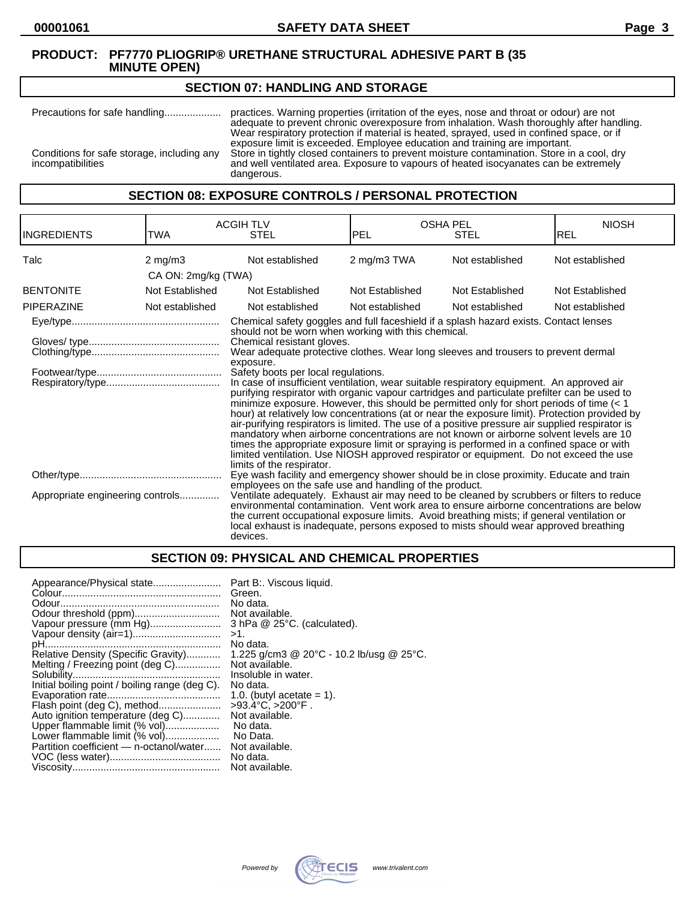#### **SECTION 07: HANDLING AND STORAGE**

Precautions for safe handling.................... practices. Warning properties (irritation of the eyes, nose and throat or odour) are not adequate to prevent chronic overexposure from inhalation. Wash thoroughly after handling. Wear respiratory protection if material is heated, sprayed, used in confined space, or if exposure limit is exceeded. Employee education and training are important. Conditions for safe storage, including any Store in tightly closed containers to prevent moisture contamination. Store in a cool, dry incompatibilities and well ventilated area. Exposure to vapours of heated isocyanates can be extremely dangerous.

**SECTION 08: EXPOSURE CONTROLS / PERSONAL PROTECTION**

| <b>INGREDIENTS</b>               | TWA                 | <b>ACGIH TLV</b><br><b>STEL</b>                                                                                                                                                                                                                                                                                                                                                                                                                                                                                                                                                                                                                                                                                                                                                                                                                                                                                                                                                                                                                                                                                                    | <b>OSHA PEL</b><br>IPEL | <b>STEL</b>     | <b>NIOSH</b><br><b>REL</b> |
|----------------------------------|---------------------|------------------------------------------------------------------------------------------------------------------------------------------------------------------------------------------------------------------------------------------------------------------------------------------------------------------------------------------------------------------------------------------------------------------------------------------------------------------------------------------------------------------------------------------------------------------------------------------------------------------------------------------------------------------------------------------------------------------------------------------------------------------------------------------------------------------------------------------------------------------------------------------------------------------------------------------------------------------------------------------------------------------------------------------------------------------------------------------------------------------------------------|-------------------------|-----------------|----------------------------|
| Talc                             | $2$ mg/m $3$        | Not established                                                                                                                                                                                                                                                                                                                                                                                                                                                                                                                                                                                                                                                                                                                                                                                                                                                                                                                                                                                                                                                                                                                    | 2 mg/m3 TWA             | Not established | Not established            |
|                                  | CA ON: 2mg/kg (TWA) |                                                                                                                                                                                                                                                                                                                                                                                                                                                                                                                                                                                                                                                                                                                                                                                                                                                                                                                                                                                                                                                                                                                                    |                         |                 |                            |
| <b>BENTONITE</b>                 | Not Established     | Not Established                                                                                                                                                                                                                                                                                                                                                                                                                                                                                                                                                                                                                                                                                                                                                                                                                                                                                                                                                                                                                                                                                                                    | Not Established         | Not Established | Not Established            |
| PIPERAZINE                       | Not established     | Not established                                                                                                                                                                                                                                                                                                                                                                                                                                                                                                                                                                                                                                                                                                                                                                                                                                                                                                                                                                                                                                                                                                                    | Not established         | Not established | Not established            |
|                                  |                     | Chemical safety goggles and full faceshield if a splash hazard exists. Contact lenses<br>should not be worn when working with this chemical.<br>Chemical resistant gloves.<br>Wear adequate protective clothes. Wear long sleeves and trousers to prevent dermal<br>exposure.<br>Safety boots per local regulations.<br>In case of insufficient ventilation, wear suitable respiratory equipment. An approved air<br>purifying respirator with organic vapour cartridges and particulate prefilter can be used to<br>minimize exposure. However, this should be permitted only for short periods of time $(< 1$<br>hour) at relatively low concentrations (at or near the exposure limit). Protection provided by<br>air-purifying respirators is limited. The use of a positive pressure air supplied respirator is<br>mandatory when airborne concentrations are not known or airborne solvent levels are 10<br>times the appropriate exposure limit or spraying is performed in a confined space or with<br>limited ventilation. Use NIOSH approved respirator or equipment. Do not exceed the use<br>limits of the respirator. |                         |                 |                            |
|                                  |                     | Eye wash facility and emergency shower should be in close proximity. Educate and train                                                                                                                                                                                                                                                                                                                                                                                                                                                                                                                                                                                                                                                                                                                                                                                                                                                                                                                                                                                                                                             |                         |                 |                            |
| Appropriate engineering controls |                     | employees on the safe use and handling of the product.<br>Ventilate adequately. Exhaust air may need to be cleaned by scrubbers or filters to reduce<br>environmental contamination. Vent work area to ensure airborne concentrations are below<br>the current occupational exposure limits. Avoid breathing mists; if general ventilation or<br>local exhaust is inadequate, persons exposed to mists should wear approved breathing<br>devices.                                                                                                                                                                                                                                                                                                                                                                                                                                                                                                                                                                                                                                                                                  |                         |                 |                            |

## **SECTION 09: PHYSICAL AND CHEMICAL PROPERTIES**

| Appearance/Physical state<br>Vapour pressure (mm Hg)<br>Relative Density (Specific Gravity)<br>Melting / Freezing point (deg C)<br>Initial boiling point / boiling range (deg C).<br>Flash point (deg C), method<br>Auto ignition temperature (deg C)<br>Upper flammable limit (% vol)<br>Lower flammable limit (% vol)<br>Partition coefficient — n-octanol/water | Part B:. Viscous liquid.<br>Green.<br>No data.<br>Not available.<br>$3$ hPa $@$ 25 $°C$ . (calculated).<br>>1.<br>No data.<br>1.225 g/cm3 @ 20 $^{\circ}$ C - 10.2 lb/usg @ 25 $^{\circ}$ C.<br>Not available.<br>Insoluble in water.<br>No data.<br>1.0. (butyl acetate $= 1$ ).<br>$>93.4^{\circ}$ C. $>200^{\circ}$ F.<br>Not available.<br>No data.<br>No Data.<br>Not available. |
|--------------------------------------------------------------------------------------------------------------------------------------------------------------------------------------------------------------------------------------------------------------------------------------------------------------------------------------------------------------------|---------------------------------------------------------------------------------------------------------------------------------------------------------------------------------------------------------------------------------------------------------------------------------------------------------------------------------------------------------------------------------------|
|                                                                                                                                                                                                                                                                                                                                                                    | No data.                                                                                                                                                                                                                                                                                                                                                                              |
|                                                                                                                                                                                                                                                                                                                                                                    | Not available.                                                                                                                                                                                                                                                                                                                                                                        |

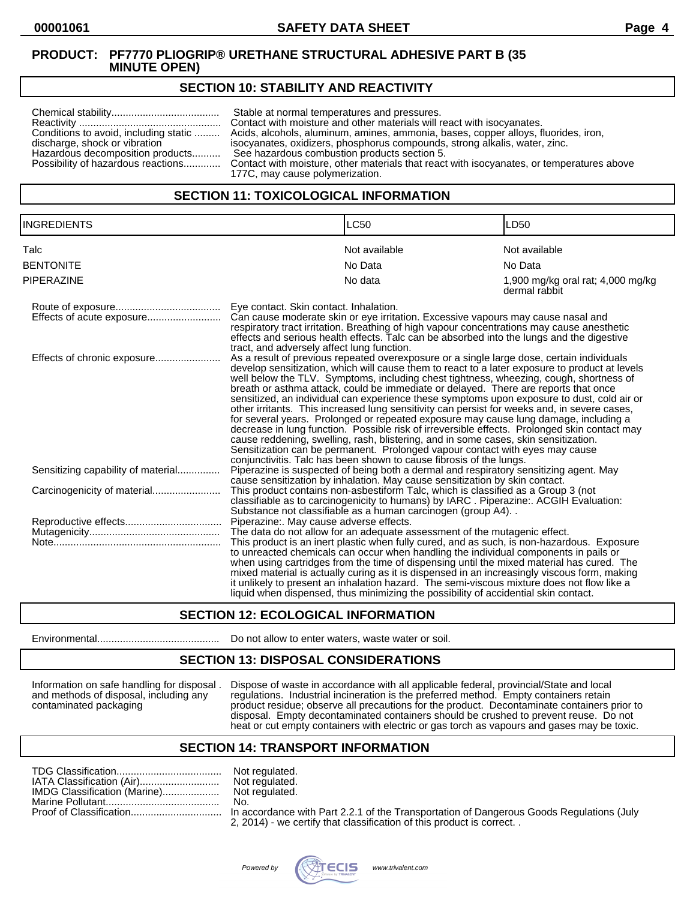## **SECTION 10: STABILITY AND REACTIVITY**

| Conditions to avoid, including static<br>discharge, shock or vibration<br>Hazardous decomposition products<br>Possibility of hazardous reactions | Stable at normal temperatures and pressures.<br>Contact with moisture and other materials will react with isocyanates.<br>Acids, alcohols, aluminum, amines, ammonia, bases, copper alloys, fluorides, iron,<br>isocyanates, oxidizers, phosphorus compounds, strong alkalis, water, zinc.<br>See hazardous combustion products section 5.<br>Contact with moisture, other materials that react with isocyanates, or temperatures above<br>177C, may cause polymerization. |
|--------------------------------------------------------------------------------------------------------------------------------------------------|----------------------------------------------------------------------------------------------------------------------------------------------------------------------------------------------------------------------------------------------------------------------------------------------------------------------------------------------------------------------------------------------------------------------------------------------------------------------------|
|--------------------------------------------------------------------------------------------------------------------------------------------------|----------------------------------------------------------------------------------------------------------------------------------------------------------------------------------------------------------------------------------------------------------------------------------------------------------------------------------------------------------------------------------------------------------------------------------------------------------------------------|

## **SECTION 11: TOXICOLOGICAL INFORMATION**

| <b>INGREDIENTS</b>                 |                                                                                      | LC50                                                                                                                                                                                                                                                                                                                                                                                                                                                                                                                                                                                                                                                                                                                                                                                                                                                                                                                                                                                                             | LD50                                               |
|------------------------------------|--------------------------------------------------------------------------------------|------------------------------------------------------------------------------------------------------------------------------------------------------------------------------------------------------------------------------------------------------------------------------------------------------------------------------------------------------------------------------------------------------------------------------------------------------------------------------------------------------------------------------------------------------------------------------------------------------------------------------------------------------------------------------------------------------------------------------------------------------------------------------------------------------------------------------------------------------------------------------------------------------------------------------------------------------------------------------------------------------------------|----------------------------------------------------|
| Talc                               |                                                                                      | Not available                                                                                                                                                                                                                                                                                                                                                                                                                                                                                                                                                                                                                                                                                                                                                                                                                                                                                                                                                                                                    | Not available                                      |
| <b>BENTONITE</b>                   |                                                                                      | No Data                                                                                                                                                                                                                                                                                                                                                                                                                                                                                                                                                                                                                                                                                                                                                                                                                                                                                                                                                                                                          | No Data                                            |
| <b>PIPERAZINE</b>                  |                                                                                      | No data                                                                                                                                                                                                                                                                                                                                                                                                                                                                                                                                                                                                                                                                                                                                                                                                                                                                                                                                                                                                          | 1,900 mg/kg oral rat; 4,000 mg/kg<br>dermal rabbit |
|                                    | Eye contact. Skin contact. Inhalation.<br>tract, and adversely affect lung function. | Can cause moderate skin or eye irritation. Excessive vapours may cause nasal and<br>respiratory tract irritation. Breathing of high vapour concentrations may cause anesthetic<br>effects and serious health effects. Talc can be absorbed into the lungs and the digestive                                                                                                                                                                                                                                                                                                                                                                                                                                                                                                                                                                                                                                                                                                                                      |                                                    |
| Effects of chronic exposure        |                                                                                      | As a result of previous repeated overexposure or a single large dose, certain individuals<br>develop sensitization, which will cause them to react to a later exposure to product at levels<br>well below the TLV. Symptoms, including chest tightness, wheezing, cough, shortness of<br>breath or asthma attack, could be immediate or delayed. There are reports that once<br>sensitized, an individual can experience these symptoms upon exposure to dust, cold air or<br>other irritants. This increased lung sensitivity can persist for weeks and, in severe cases,<br>for several years. Prolonged or repeated exposure may cause lung damage, including a<br>decrease in lung function. Possible risk of irreversible effects. Prolonged skin contact may<br>cause reddening, swelling, rash, blistering, and in some cases, skin sensitization.<br>Sensitization can be permanent. Prolonged vapour contact with eyes may cause<br>conjunctivitis. Talc has been shown to cause fibrosis of the lungs. |                                                    |
| Sensitizing capability of material |                                                                                      | Piperazine is suspected of being both a dermal and respiratory sensitizing agent. May<br>cause sensitization by inhalation. May cause sensitization by skin contact.                                                                                                                                                                                                                                                                                                                                                                                                                                                                                                                                                                                                                                                                                                                                                                                                                                             |                                                    |
|                                    |                                                                                      | This product contains non-asbestiform Talc, which is classified as a Group 3 (not<br>classifiable as to carcinogenicity to humans) by IARC. Piperazine:. ACGIH Evaluation:<br>Substance not classifiable as a human carcinogen (group A4)                                                                                                                                                                                                                                                                                                                                                                                                                                                                                                                                                                                                                                                                                                                                                                        |                                                    |
|                                    | Piperazine:. May cause adverse effects.                                              | The data do not allow for an adequate assessment of the mutagenic effect.<br>This product is an inert plastic when fully cured, and as such, is non-hazardous. Exposure<br>to unreacted chemicals can occur when handling the individual components in pails or<br>when using cartridges from the time of dispensing until the mixed material has cured. The<br>mixed material is actually curing as it is dispensed in an increasingly viscous form, making<br>it unlikely to present an inhalation hazard. The semi-viscous mixture does not flow like a<br>liquid when dispensed, thus minimizing the possibility of accidential skin contact.                                                                                                                                                                                                                                                                                                                                                                |                                                    |

## **SECTION 12: ECOLOGICAL INFORMATION**

Environmental........................................... Do not allow to enter waters, waste water or soil.

#### **SECTION 13: DISPOSAL CONSIDERATIONS**

Information on safe handling for disposal . Dispose of waste in accordance with all applicable federal, provincial/State and local and methods of disposal, including any regulations. Industrial incineration is the preferred method. Empty containers retain contaminated packaging product residue; observe all precautions for the product. Decontaminate containers prior to disposal. Empty decontaminated containers should be crushed to prevent reuse. Do not heat or cut empty containers with electric or gas torch as vapours and gases may be toxic.

#### **SECTION 14: TRANSPORT INFORMATION**

|                              | Not |
|------------------------------|-----|
|                              | Not |
| IMDG Classification (Marine) | Not |
|                              | No. |
|                              |     |

Not regulated. Not regulated. Not regulated.<br>No.

In accordance with Part 2.2.1 of the Transportation of Dangerous Goods Regulations (July 2, 2014) - we certify that classification of this product is correct. .